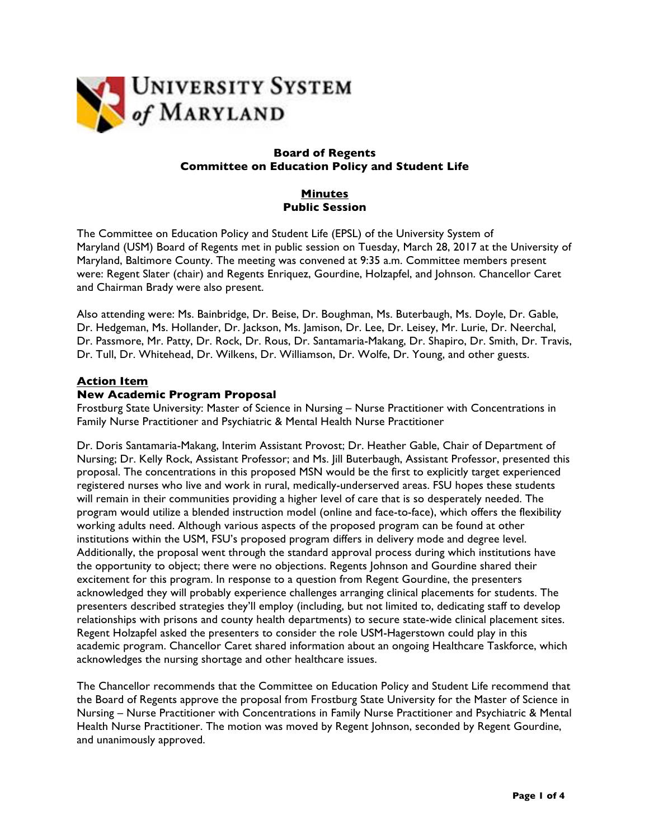

## **Board of Regents Committee on Education Policy and Student Life**

# **Minutes Public Session**

The Committee on Education Policy and Student Life (EPSL) of the University System of Maryland (USM) Board of Regents met in public session on Tuesday, March 28, 2017 at the University of Maryland, Baltimore County. The meeting was convened at 9:35 a.m. Committee members present were: Regent Slater (chair) and Regents Enriquez, Gourdine, Holzapfel, and Johnson. Chancellor Caret and Chairman Brady were also present.

Also attending were: Ms. Bainbridge, Dr. Beise, Dr. Boughman, Ms. Buterbaugh, Ms. Doyle, Dr. Gable, Dr. Hedgeman, Ms. Hollander, Dr. Jackson, Ms. Jamison, Dr. Lee, Dr. Leisey, Mr. Lurie, Dr. Neerchal, Dr. Passmore, Mr. Patty, Dr. Rock, Dr. Rous, Dr. Santamaria-Makang, Dr. Shapiro, Dr. Smith, Dr. Travis, Dr. Tull, Dr. Whitehead, Dr. Wilkens, Dr. Williamson, Dr. Wolfe, Dr. Young, and other guests.

## **Action Item**

#### **New Academic Program Proposal**

Frostburg State University: Master of Science in Nursing – Nurse Practitioner with Concentrations in Family Nurse Practitioner and Psychiatric & Mental Health Nurse Practitioner

Dr. Doris Santamaria-Makang, Interim Assistant Provost; Dr. Heather Gable, Chair of Department of Nursing; Dr. Kelly Rock, Assistant Professor; and Ms. Jill Buterbaugh, Assistant Professor, presented this proposal. The concentrations in this proposed MSN would be the first to explicitly target experienced registered nurses who live and work in rural, medically-underserved areas. FSU hopes these students will remain in their communities providing a higher level of care that is so desperately needed. The program would utilize a blended instruction model (online and face-to-face), which offers the flexibility working adults need. Although various aspects of the proposed program can be found at other institutions within the USM, FSU's proposed program differs in delivery mode and degree level. Additionally, the proposal went through the standard approval process during which institutions have the opportunity to object; there were no objections. Regents Johnson and Gourdine shared their excitement for this program. In response to a question from Regent Gourdine, the presenters acknowledged they will probably experience challenges arranging clinical placements for students. The presenters described strategies they'll employ (including, but not limited to, dedicating staff to develop relationships with prisons and county health departments) to secure state-wide clinical placement sites. Regent Holzapfel asked the presenters to consider the role USM-Hagerstown could play in this academic program. Chancellor Caret shared information about an ongoing Healthcare Taskforce, which acknowledges the nursing shortage and other healthcare issues.

The Chancellor recommends that the Committee on Education Policy and Student Life recommend that the Board of Regents approve the proposal from Frostburg State University for the Master of Science in Nursing – Nurse Practitioner with Concentrations in Family Nurse Practitioner and Psychiatric & Mental Health Nurse Practitioner. The motion was moved by Regent Johnson, seconded by Regent Gourdine, and unanimously approved.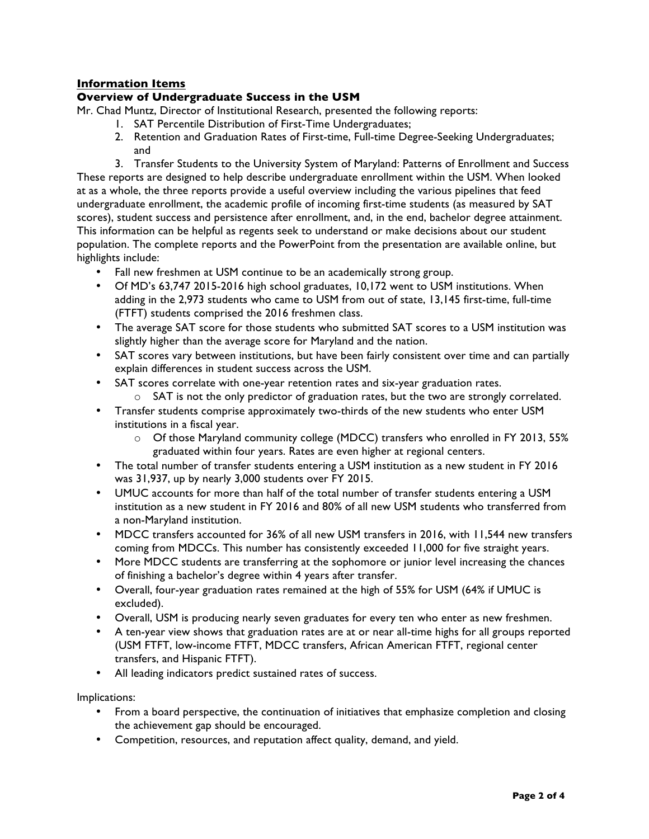# **Information Items**

## **Overview of Undergraduate Success in the USM**

Mr. Chad Muntz, Director of Institutional Research, presented the following reports:

- 1. SAT Percentile Distribution of First-Time Undergraduates;
- 2. Retention and Graduation Rates of First-time, Full-time Degree-Seeking Undergraduates; and

3. Transfer Students to the University System of Maryland: Patterns of Enrollment and Success These reports are designed to help describe undergraduate enrollment within the USM. When looked at as a whole, the three reports provide a useful overview including the various pipelines that feed undergraduate enrollment, the academic profile of incoming first-time students (as measured by SAT scores), student success and persistence after enrollment, and, in the end, bachelor degree attainment. This information can be helpful as regents seek to understand or make decisions about our student population. The complete reports and the PowerPoint from the presentation are available online, but highlights include:

- Fall new freshmen at USM continue to be an academically strong group.
- Of MD's 63,747 2015-2016 high school graduates, 10,172 went to USM institutions. When adding in the 2,973 students who came to USM from out of state, 13,145 first-time, full-time (FTFT) students comprised the 2016 freshmen class.
- The average SAT score for those students who submitted SAT scores to a USM institution was slightly higher than the average score for Maryland and the nation.
- SAT scores vary between institutions, but have been fairly consistent over time and can partially explain differences in student success across the USM.
- SAT scores correlate with one-year retention rates and six-year graduation rates.  $\circ$  SAT is not the only predictor of graduation rates, but the two are strongly correlated.
- Transfer students comprise approximately two-thirds of the new students who enter USM institutions in a fiscal year.
	- o Of those Maryland community college (MDCC) transfers who enrolled in FY 2013, 55% graduated within four years. Rates are even higher at regional centers.
- The total number of transfer students entering a USM institution as a new student in FY 2016 was 31,937, up by nearly 3,000 students over FY 2015.
- UMUC accounts for more than half of the total number of transfer students entering a USM institution as a new student in FY 2016 and 80% of all new USM students who transferred from a non-Maryland institution.
- MDCC transfers accounted for 36% of all new USM transfers in 2016, with 11,544 new transfers coming from MDCCs. This number has consistently exceeded 11,000 for five straight years.
- More MDCC students are transferring at the sophomore or junior level increasing the chances of finishing a bachelor's degree within 4 years after transfer.
- Overall, four-year graduation rates remained at the high of 55% for USM (64% if UMUC is excluded).
- Overall, USM is producing nearly seven graduates for every ten who enter as new freshmen.
- A ten-year view shows that graduation rates are at or near all-time highs for all groups reported (USM FTFT, low-income FTFT, MDCC transfers, African American FTFT, regional center transfers, and Hispanic FTFT).
- All leading indicators predict sustained rates of success.

Implications:

- From a board perspective, the continuation of initiatives that emphasize completion and closing the achievement gap should be encouraged.
- Competition, resources, and reputation affect quality, demand, and yield.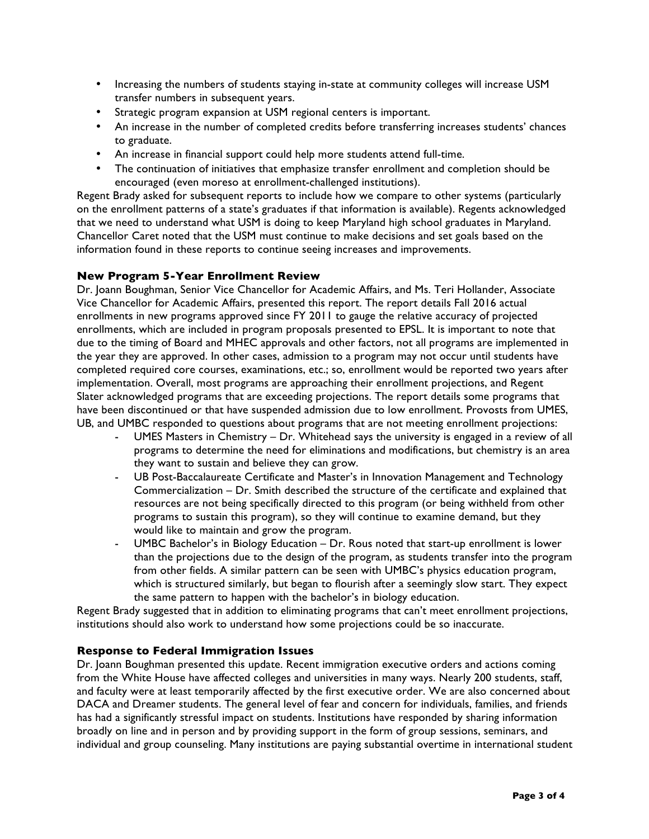- Increasing the numbers of students staying in-state at community colleges will increase USM transfer numbers in subsequent years.
- Strategic program expansion at USM regional centers is important.
- An increase in the number of completed credits before transferring increases students' chances to graduate.
- An increase in financial support could help more students attend full-time.
- The continuation of initiatives that emphasize transfer enrollment and completion should be encouraged (even moreso at enrollment-challenged institutions).

Regent Brady asked for subsequent reports to include how we compare to other systems (particularly on the enrollment patterns of a state's graduates if that information is available). Regents acknowledged that we need to understand what USM is doing to keep Maryland high school graduates in Maryland. Chancellor Caret noted that the USM must continue to make decisions and set goals based on the information found in these reports to continue seeing increases and improvements.

## **New Program 5-Year Enrollment Review**

Dr. Joann Boughman, Senior Vice Chancellor for Academic Affairs, and Ms. Teri Hollander, Associate Vice Chancellor for Academic Affairs, presented this report. The report details Fall 2016 actual enrollments in new programs approved since FY 2011 to gauge the relative accuracy of projected enrollments, which are included in program proposals presented to EPSL. It is important to note that due to the timing of Board and MHEC approvals and other factors, not all programs are implemented in the year they are approved. In other cases, admission to a program may not occur until students have completed required core courses, examinations, etc.; so, enrollment would be reported two years after implementation. Overall, most programs are approaching their enrollment projections, and Regent Slater acknowledged programs that are exceeding projections. The report details some programs that have been discontinued or that have suspended admission due to low enrollment. Provosts from UMES, UB, and UMBC responded to questions about programs that are not meeting enrollment projections:

- UMES Masters in Chemistry Dr. Whitehead says the university is engaged in a review of all programs to determine the need for eliminations and modifications, but chemistry is an area they want to sustain and believe they can grow.
- UB Post-Baccalaureate Certificate and Master's in Innovation Management and Technology Commercialization – Dr. Smith described the structure of the certificate and explained that resources are not being specifically directed to this program (or being withheld from other programs to sustain this program), so they will continue to examine demand, but they would like to maintain and grow the program.
- UMBC Bachelor's in Biology Education Dr. Rous noted that start-up enrollment is lower than the projections due to the design of the program, as students transfer into the program from other fields. A similar pattern can be seen with UMBC's physics education program, which is structured similarly, but began to flourish after a seemingly slow start. They expect the same pattern to happen with the bachelor's in biology education.

Regent Brady suggested that in addition to eliminating programs that can't meet enrollment projections, institutions should also work to understand how some projections could be so inaccurate.

## **Response to Federal Immigration Issues**

Dr. Joann Boughman presented this update. Recent immigration executive orders and actions coming from the White House have affected colleges and universities in many ways. Nearly 200 students, staff, and faculty were at least temporarily affected by the first executive order. We are also concerned about DACA and Dreamer students. The general level of fear and concern for individuals, families, and friends has had a significantly stressful impact on students. Institutions have responded by sharing information broadly on line and in person and by providing support in the form of group sessions, seminars, and individual and group counseling. Many institutions are paying substantial overtime in international student